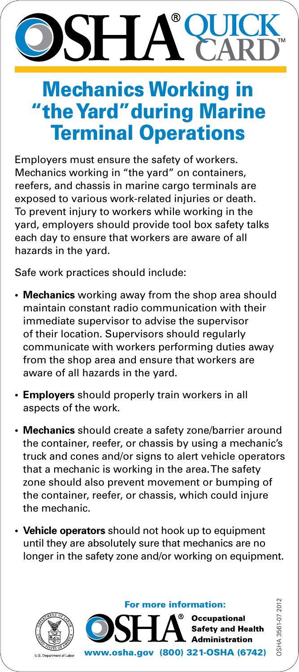## **QUICK**  SH, **CARD**

## Mechanics Working in "the Yard"during Marine Terminal Operations

Employers must ensure the safety of workers. Mechanics working in "the yard" on containers, reefers, and chassis in marine cargo terminals are exposed to various work-related injuries or death. To prevent injury to workers while working in the yard, employers should provide tool box safety talks each day to ensure that workers are aware of all hazards in the yard.

Safe work practices should include:

- **• Mechanics** working away from the shop area should maintain constant radio communication with their immediate supervisor to advise the supervisor of their location. Supervisors should regularly communicate with workers performing duties away from the shop area and ensure that workers are aware of all hazards in the yard.
- **• Employers** should properly train workers in all aspects of the work.
- **• Mechanics** should create a safety zone/barrier around the container, reefer, or chassis by using a mechanic's truck and cones and/or signs to alert vehicle operators that a mechanic is working in the area. The safety zone should also prevent movement or bumping of the container, reefer, or chassis, which could injure the mechanic.
- **• Vehicle operators** should not hook up to equipment until they are absolutely sure that mechanics are no longer in the safety zone and/or working on equipment.



For more information:



OSHA 3561-07 2012 DSHA 3561-07 201